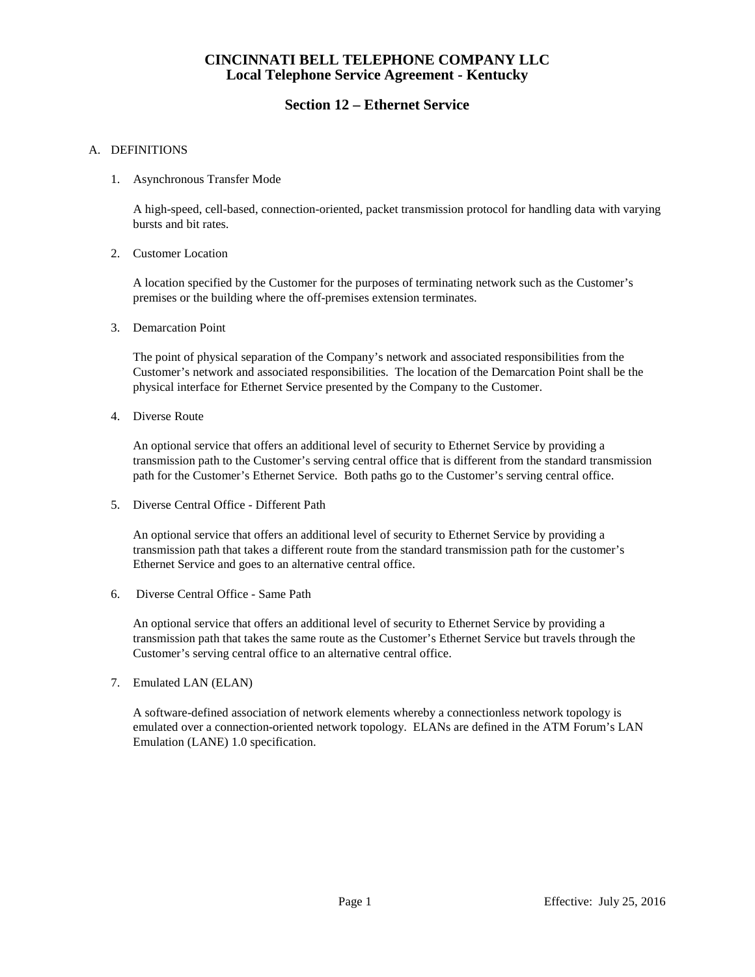# **Section 12 – Ethernet Service**

### A. DEFINITIONS

### 1. Asynchronous Transfer Mode

A high-speed, cell-based, connection-oriented, packet transmission protocol for handling data with varying bursts and bit rates.

#### 2. Customer Location

A location specified by the Customer for the purposes of terminating network such as the Customer's premises or the building where the off-premises extension terminates.

3. Demarcation Point

The point of physical separation of the Company's network and associated responsibilities from the Customer's network and associated responsibilities. The location of the Demarcation Point shall be the physical interface for Ethernet Service presented by the Company to the Customer.

4. Diverse Route

An optional service that offers an additional level of security to Ethernet Service by providing a transmission path to the Customer's serving central office that is different from the standard transmission path for the Customer's Ethernet Service. Both paths go to the Customer's serving central office.

5. Diverse Central Office - Different Path

An optional service that offers an additional level of security to Ethernet Service by providing a transmission path that takes a different route from the standard transmission path for the customer's Ethernet Service and goes to an alternative central office.

6. Diverse Central Office - Same Path

An optional service that offers an additional level of security to Ethernet Service by providing a transmission path that takes the same route as the Customer's Ethernet Service but travels through the Customer's serving central office to an alternative central office.

7. Emulated LAN (ELAN)

A software-defined association of network elements whereby a connectionless network topology is emulated over a connection-oriented network topology. ELANs are defined in the ATM Forum's LAN Emulation (LANE) 1.0 specification.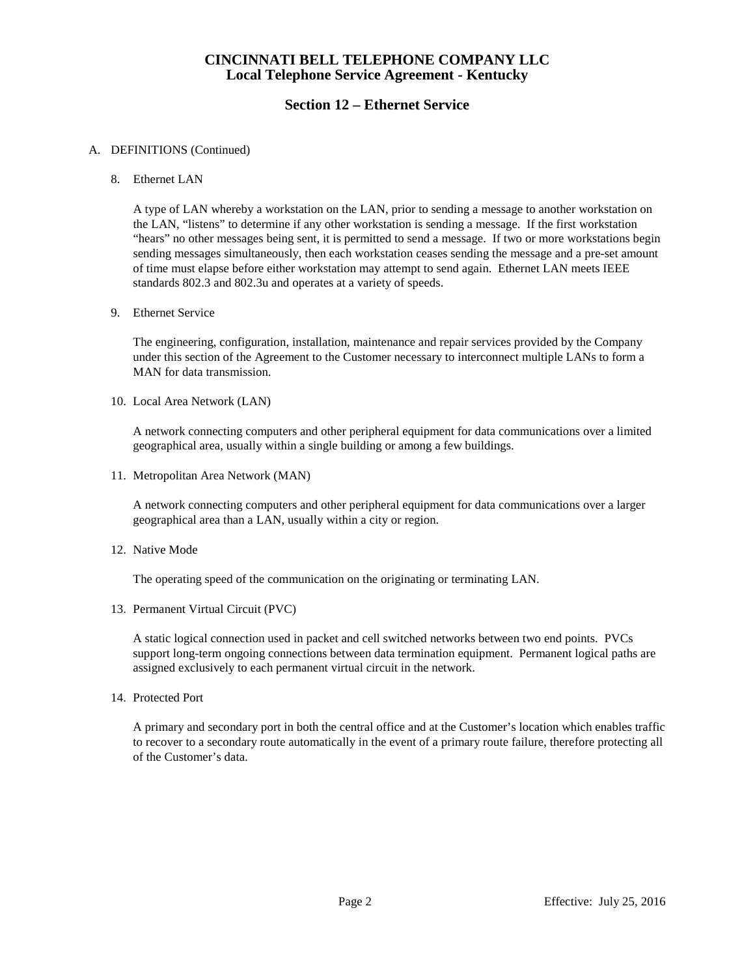# **Section 12 – Ethernet Service**

### A. DEFINITIONS (Continued)

#### 8. Ethernet LAN

A type of LAN whereby a workstation on the LAN, prior to sending a message to another workstation on the LAN, "listens" to determine if any other workstation is sending a message. If the first workstation "hears" no other messages being sent, it is permitted to send a message. If two or more workstations begin sending messages simultaneously, then each workstation ceases sending the message and a pre-set amount of time must elapse before either workstation may attempt to send again. Ethernet LAN meets IEEE standards 802.3 and 802.3u and operates at a variety of speeds.

#### 9. Ethernet Service

The engineering, configuration, installation, maintenance and repair services provided by the Company under this section of the Agreement to the Customer necessary to interconnect multiple LANs to form a MAN for data transmission.

10. Local Area Network (LAN)

A network connecting computers and other peripheral equipment for data communications over a limited geographical area, usually within a single building or among a few buildings.

11. Metropolitan Area Network (MAN)

A network connecting computers and other peripheral equipment for data communications over a larger geographical area than a LAN, usually within a city or region.

12. Native Mode

The operating speed of the communication on the originating or terminating LAN.

13. Permanent Virtual Circuit (PVC)

A static logical connection used in packet and cell switched networks between two end points. PVCs support long-term ongoing connections between data termination equipment. Permanent logical paths are assigned exclusively to each permanent virtual circuit in the network.

14. Protected Port

A primary and secondary port in both the central office and at the Customer's location which enables traffic to recover to a secondary route automatically in the event of a primary route failure, therefore protecting all of the Customer's data.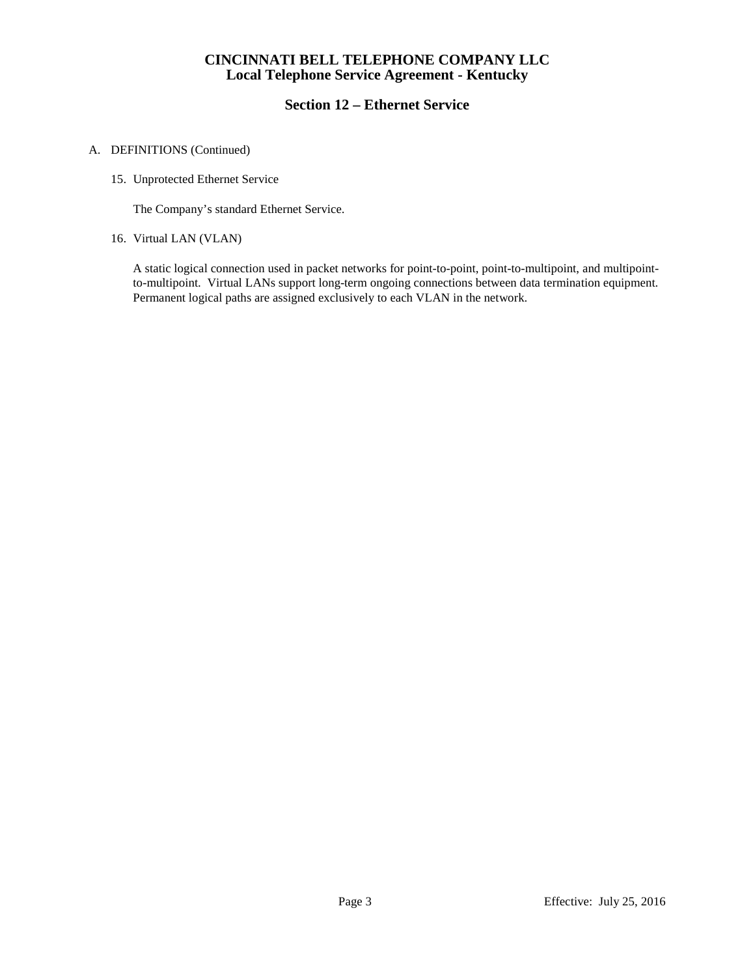# **Section 12 – Ethernet Service**

### A. DEFINITIONS (Continued)

15. Unprotected Ethernet Service

The Company's standard Ethernet Service.

16. Virtual LAN (VLAN)

A static logical connection used in packet networks for point-to-point, point-to-multipoint, and multipointto-multipoint. Virtual LANs support long-term ongoing connections between data termination equipment. Permanent logical paths are assigned exclusively to each VLAN in the network.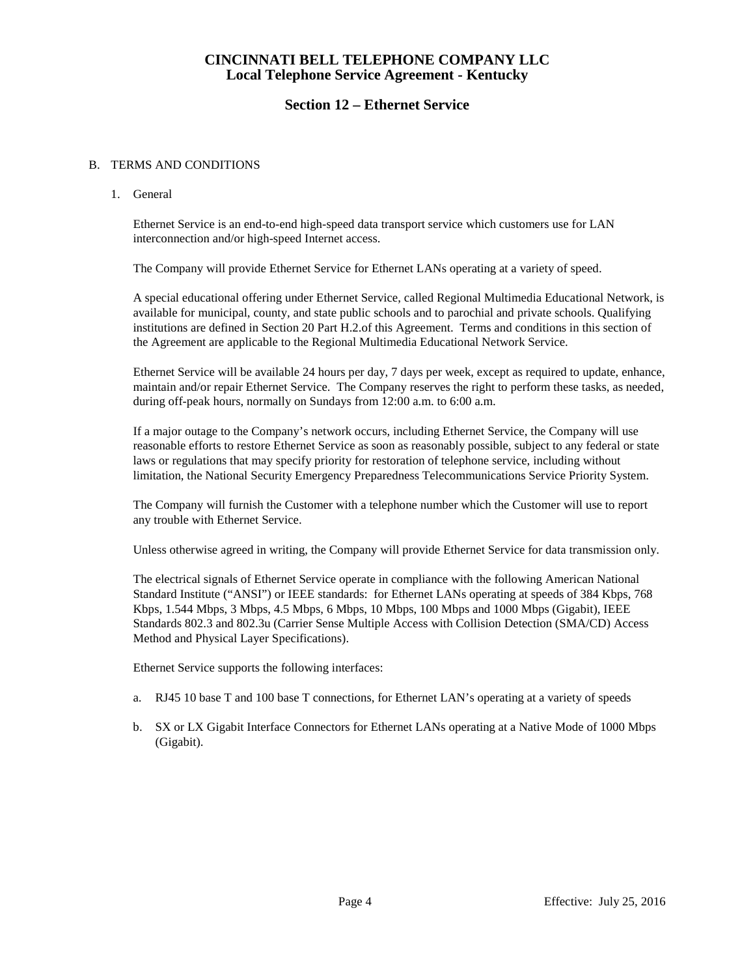## **Section 12 – Ethernet Service**

#### B. TERMS AND CONDITIONS

### 1. General

Ethernet Service is an end-to-end high-speed data transport service which customers use for LAN interconnection and/or high-speed Internet access.

The Company will provide Ethernet Service for Ethernet LANs operating at a variety of speed.

A special educational offering under Ethernet Service, called Regional Multimedia Educational Network, is available for municipal, county, and state public schools and to parochial and private schools. Qualifying institutions are defined in Section 20 Part H.2.of this Agreement. Terms and conditions in this section of the Agreement are applicable to the Regional Multimedia Educational Network Service.

Ethernet Service will be available 24 hours per day, 7 days per week, except as required to update, enhance, maintain and/or repair Ethernet Service. The Company reserves the right to perform these tasks, as needed, during off-peak hours, normally on Sundays from 12:00 a.m. to 6:00 a.m.

If a major outage to the Company's network occurs, including Ethernet Service, the Company will use reasonable efforts to restore Ethernet Service as soon as reasonably possible, subject to any federal or state laws or regulations that may specify priority for restoration of telephone service, including without limitation, the National Security Emergency Preparedness Telecommunications Service Priority System.

The Company will furnish the Customer with a telephone number which the Customer will use to report any trouble with Ethernet Service.

Unless otherwise agreed in writing, the Company will provide Ethernet Service for data transmission only.

The electrical signals of Ethernet Service operate in compliance with the following American National Standard Institute ("ANSI") or IEEE standards: for Ethernet LANs operating at speeds of 384 Kbps, 768 Kbps, 1.544 Mbps, 3 Mbps, 4.5 Mbps, 6 Mbps, 10 Mbps, 100 Mbps and 1000 Mbps (Gigabit), IEEE Standards 802.3 and 802.3u (Carrier Sense Multiple Access with Collision Detection (SMA/CD) Access Method and Physical Layer Specifications).

Ethernet Service supports the following interfaces:

- a. RJ45 10 base T and 100 base T connections, for Ethernet LAN's operating at a variety of speeds
- b. SX or LX Gigabit Interface Connectors for Ethernet LANs operating at a Native Mode of 1000 Mbps (Gigabit).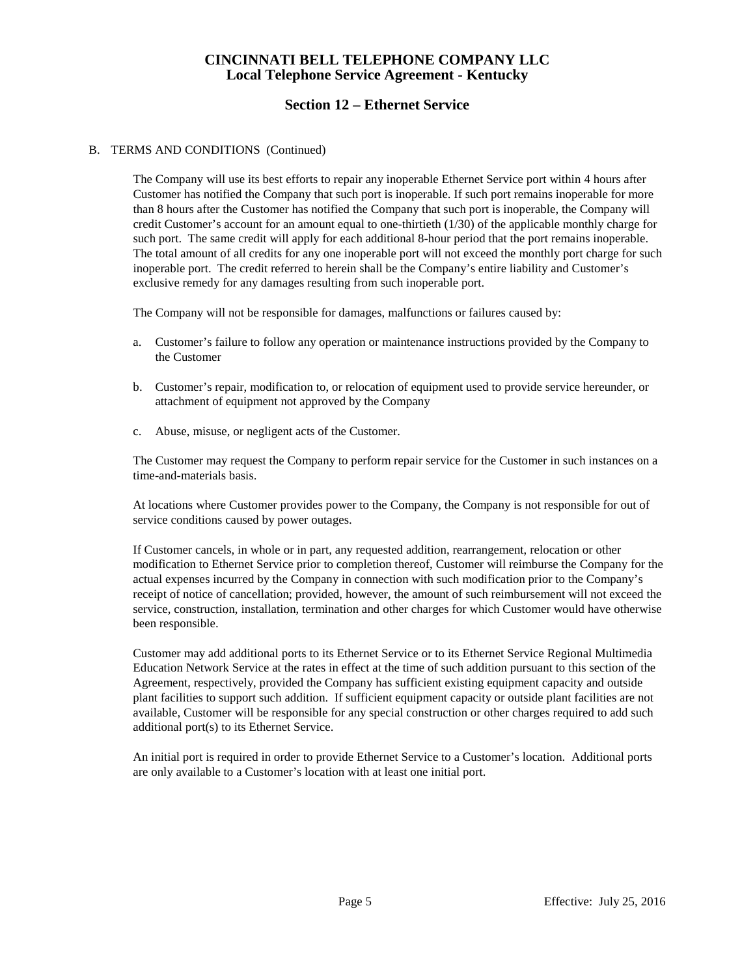# **Section 12 – Ethernet Service**

### B. TERMS AND CONDITIONS (Continued)

The Company will use its best efforts to repair any inoperable Ethernet Service port within 4 hours after Customer has notified the Company that such port is inoperable. If such port remains inoperable for more than 8 hours after the Customer has notified the Company that such port is inoperable, the Company will credit Customer's account for an amount equal to one-thirtieth (1/30) of the applicable monthly charge for such port. The same credit will apply for each additional 8-hour period that the port remains inoperable. The total amount of all credits for any one inoperable port will not exceed the monthly port charge for such inoperable port. The credit referred to herein shall be the Company's entire liability and Customer's exclusive remedy for any damages resulting from such inoperable port.

The Company will not be responsible for damages, malfunctions or failures caused by:

- a. Customer's failure to follow any operation or maintenance instructions provided by the Company to the Customer
- b. Customer's repair, modification to, or relocation of equipment used to provide service hereunder, or attachment of equipment not approved by the Company
- c. Abuse, misuse, or negligent acts of the Customer.

The Customer may request the Company to perform repair service for the Customer in such instances on a time-and-materials basis.

At locations where Customer provides power to the Company, the Company is not responsible for out of service conditions caused by power outages.

If Customer cancels, in whole or in part, any requested addition, rearrangement, relocation or other modification to Ethernet Service prior to completion thereof, Customer will reimburse the Company for the actual expenses incurred by the Company in connection with such modification prior to the Company's receipt of notice of cancellation; provided, however, the amount of such reimbursement will not exceed the service, construction, installation, termination and other charges for which Customer would have otherwise been responsible.

Customer may add additional ports to its Ethernet Service or to its Ethernet Service Regional Multimedia Education Network Service at the rates in effect at the time of such addition pursuant to this section of the Agreement, respectively, provided the Company has sufficient existing equipment capacity and outside plant facilities to support such addition. If sufficient equipment capacity or outside plant facilities are not available, Customer will be responsible for any special construction or other charges required to add such additional port(s) to its Ethernet Service.

An initial port is required in order to provide Ethernet Service to a Customer's location. Additional ports are only available to a Customer's location with at least one initial port.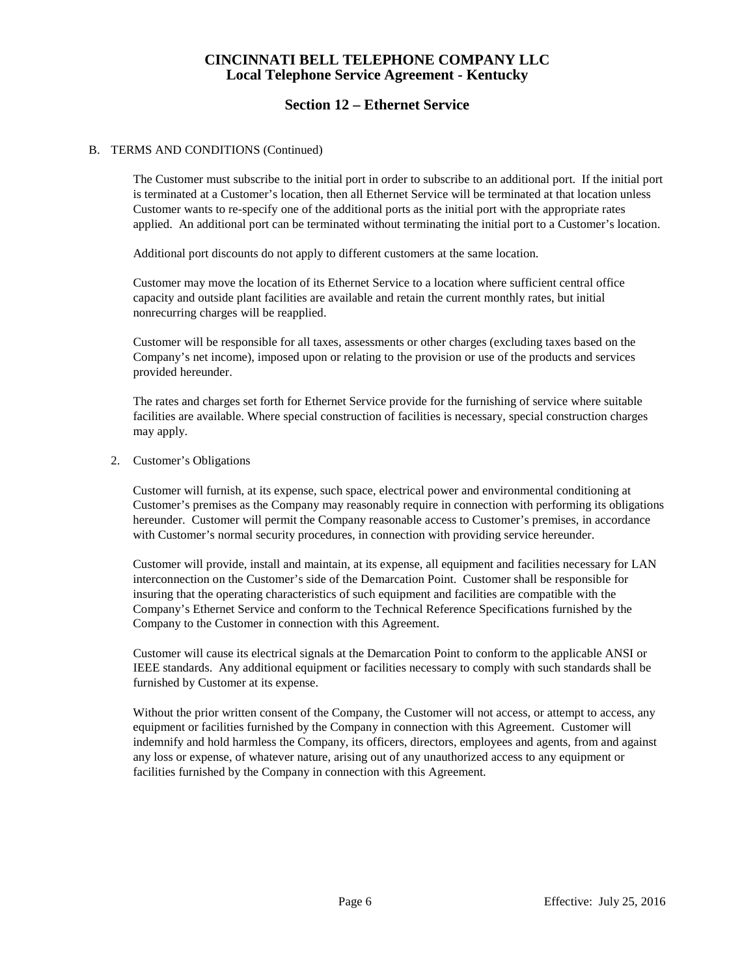# **Section 12 – Ethernet Service**

### B. TERMS AND CONDITIONS (Continued)

The Customer must subscribe to the initial port in order to subscribe to an additional port. If the initial port is terminated at a Customer's location, then all Ethernet Service will be terminated at that location unless Customer wants to re-specify one of the additional ports as the initial port with the appropriate rates applied. An additional port can be terminated without terminating the initial port to a Customer's location.

Additional port discounts do not apply to different customers at the same location.

Customer may move the location of its Ethernet Service to a location where sufficient central office capacity and outside plant facilities are available and retain the current monthly rates, but initial nonrecurring charges will be reapplied.

Customer will be responsible for all taxes, assessments or other charges (excluding taxes based on the Company's net income), imposed upon or relating to the provision or use of the products and services provided hereunder.

The rates and charges set forth for Ethernet Service provide for the furnishing of service where suitable facilities are available. Where special construction of facilities is necessary, special construction charges may apply.

#### 2. Customer's Obligations

Customer will furnish, at its expense, such space, electrical power and environmental conditioning at Customer's premises as the Company may reasonably require in connection with performing its obligations hereunder. Customer will permit the Company reasonable access to Customer's premises, in accordance with Customer's normal security procedures, in connection with providing service hereunder.

Customer will provide, install and maintain, at its expense, all equipment and facilities necessary for LAN interconnection on the Customer's side of the Demarcation Point. Customer shall be responsible for insuring that the operating characteristics of such equipment and facilities are compatible with the Company's Ethernet Service and conform to the Technical Reference Specifications furnished by the Company to the Customer in connection with this Agreement.

Customer will cause its electrical signals at the Demarcation Point to conform to the applicable ANSI or IEEE standards. Any additional equipment or facilities necessary to comply with such standards shall be furnished by Customer at its expense.

Without the prior written consent of the Company, the Customer will not access, or attempt to access, any equipment or facilities furnished by the Company in connection with this Agreement. Customer will indemnify and hold harmless the Company, its officers, directors, employees and agents, from and against any loss or expense, of whatever nature, arising out of any unauthorized access to any equipment or facilities furnished by the Company in connection with this Agreement.